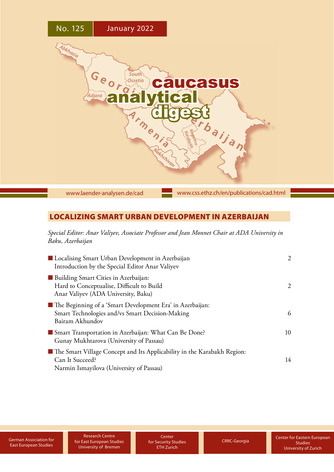

[www.laender-analysen.de/cad](http://www.laender-analysen.de/cad)

[www.css.ethz.ch/en/publications/cad.html](http://www.css.ethz.ch/en/publications/cad.html)

# LOCALIZING SMART URBAN DEVELOPMENT IN AZERBAIJAN

*Special Editor: Anar Valiyev, Associate Professor and Jean Monnet Chair at ADA University in Baku, Azerbaijan*

| ■ Localising Smart Urban Development in Azerbaijan<br>Introduction by the Special Editor Anar Valiyev                                    | 2  |
|------------------------------------------------------------------------------------------------------------------------------------------|----|
| Building Smart Cities in Azerbaijan:<br>Hard to Conceptualise, Difficult to Build<br>Anar Valiyev (ADA University, Baku)                 | 2  |
| ■ The Beginning of a 'Smart Development Era' in Azerbaijan:<br>Smart Technologies and/vs Smart Decision-Making<br>Bairam Akhundov        | 6  |
| Smart Transportation in Azerbaijan: What Can Be Done?<br>Gunay Mukhtarova (University of Passau)                                         | 10 |
| ■ The Smart Village Concept and Its Applicability in the Karabakh Region:<br>Can It Succeed?<br>Narmin Ismayilova (University of Passau) | 14 |

**Center** for Security Studies ETH Zurich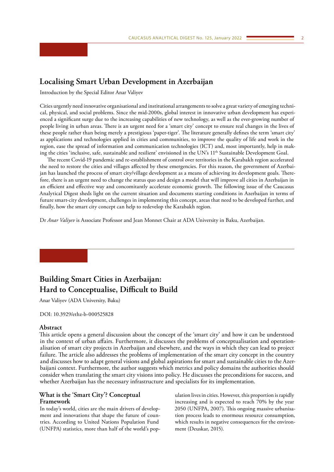# <span id="page-1-0"></span>**Localising Smart Urban Development in Azerbaijan**

Introduction by the Special Editor Anar Valiyev

Cities urgently need innovative organisational and institutional arrangements to solve a great variety of emerging technical, physical, and social problems. Since the mid-2000s, global interest in innovative urban development has experienced a significant surge due to the increasing capabilities of new technology, as well as the ever-growing number of people living in urban areas. There is an urgent need for a 'smart city' concept to ensure real changes in the lives of these people rather than being merely a prestigious 'paper-tiger'. The literature generally defines the term 'smart city' as applications and technologies applied in cities and communities, to improve the quality of life and work in the region, ease the spread of information and communication technologies (ICT) and, most importantly, help in making the cities 'inclusive, safe, sustainable and resilient' envisioned in the UN's 11<sup>th</sup> Sustainable Development Goal.

The recent Covid-19 pandemic and re-establishment of control over territories in the Karabakh region accelerated the need to restore the cities and villages affected by these emergencies. For this reason, the government of Azerbaijan has launched the process of smart city/village development as a means of achieving its development goals. Therefore, there is an urgent need to change the status quo and design a model that will improve all cities in Azerbaijan in an efficient and effective way and concomitantly accelerate economic growth. The following issue of the Caucasus Analytical Digest sheds light on the current situation and documents starting conditions in Azerbaijan in terms of future smart-city development, challenges in implementing this concept, areas that need to be developed further, and finally, how the smart city concept can help to redevelop the Karabakh region.

Dr *Anar Valiyev* is Associate Professor and Jean Monnet Chair at ADA University in Baku, Azerbaijan.

# **Building Smart Cities in Azerbaijan: Hard to Conceptualise, Difficult to Build**

Anar Valiyev (ADA University, Baku)

DOI: 10.3929/ethz-b-000525828

## **Abstract**

This article opens a general discussion about the concept of the 'smart city' and how it can be understood in the context of urban affairs. Furthermore, it discusses the problems of conceptualisation and operationalisation of smart city projects in Azerbaijan and elsewhere, and the ways in which they can lead to project failure. The article also addresses the problems of implementation of the smart city concept in the country and discusses how to adapt general visions and global aspirations for smart and sustainable cities to the Azerbaijani context. Furthermore, the author suggests which metrics and policy domains the authorities should consider when translating the smart city visions into policy. He discusses the preconditions for success, and whether Azerbaijan has the necessary infrastructure and specialists for its implementation.

# **What is the 'Smart City'? Conceptual Framework**

In today's world, cities are the main drivers of development and innovations that shape the future of countries. According to United Nations Population Fund (UNFPA) statistics, more than half of the world's population lives in cities. However, this proportion is rapidly increasing and is expected to reach 70% by the year 2050 (UNFPA, 2007). This ongoing massive urbanisation process leads to enormous resource consumption, which results in negative consequences for the environment (Deuskar, 2015).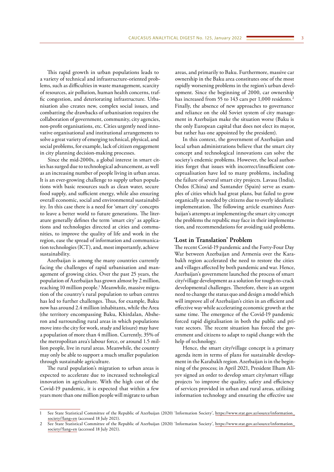This rapid growth in urban populations leads to a variety of technical and infrastructure-oriented problems, such as difficulties in waste management, scarcity of resources, air pollution, human health concerns, traffic congestion, and deteriorating infrastructure. Urbanisation also creates new, complex social issues, and combatting the drawbacks of urbanisation requires the collaboration of government, community, city agencies, non-profit organisations, etc. Cities urgently need innovative organisational and institutional arrangements to solve a great variety of emerging technical, physical, and social problems, for example, lack of citizen engagement in city planning decision-making processes.

Since the mid-2000s, a global interest in smart cities has surged due to technological advancement, as well as an increasing number of people living in urban areas. It is an ever-growing challenge to supply urban populations with basic resources such as clean water, secure food supply, and sufficient energy, while also ensuring overall economic, social and environmental sustainability. In this case there is a need for 'smart city' concepts to leave a better world to future generations. The literature generally defines the term 'smart city' as applications and technologies directed at cities and communities, to improve the quality of life and work in the region, ease the spread of information and communication technologies (ICT), and, most importantly, achieve sustainability.

Azerbaijan is among the many countries currently facing the challenges of rapid urbanisation and management of growing cities. Over the past 25 years, the population of Azerbaijan has grown almost by 2 million, reaching 10 million people.1 Meanwhile, massive migration of the country's rural population to urban centres has led to further challenges. Thus, for example, Baku now has around 2.4 million inhabitants, while the Area (the territory encompassing Baku, Khirdalan, Absheron and surrounding rural areas in which populations move into the city for work, study and leisure) may have a population of more than 4 million. Currently, 35% of the metropolitan area's labour force, or around 1.5 million people, live in rural areas. Meanwhile, the country may only be able to support a much smaller population through sustainable agriculture.

The rural population's migration to urban areas is expected to accelerate due to increased technological innovation in agriculture. With the high cost of the Covid-19 pandemic, it is expected that within a few years more than one million people will migrate to urban

areas, and primarily to Baku. Furthermore, massive car ownership in the Baku area constitutes one of the most rapidly worsening problems in the region's urban development. Since the beginning of 2000, car ownership has increased from 55 to 143 cars per 1,000 residents.<sup>2</sup> Finally, the absence of new approaches to governance and reliance on the old Soviet system of city management in Azerbaijan make the situation worse (Baku is the only European capital that does not elect its mayor, but rather has one appointed by the president).

In this context, the government of Azerbaijan and local urban administrations believe that the smart city concept and technological innovations can solve the society's endemic problems. However, the local authorities forget that issues with incorrect/insufficient conceptualisation have led to many problems, including the failure of several smart city projects. Lavasa (India), Ordos (China) and Santander (Spain) serve as examples of cities which had great plans, but failed to grow organically as needed by citizens due to overly idealistic implementation. The following article examines Azerbaijan's attempts at implementing the smart city concept the problems the republic may face in their implementation, and recommendations for avoiding said problems.

## **'Lost in Translation' Problem**

The recent Covid-19 pandemic and the Forty-Four Day War between Azerbaijan and Armenia over the Karabakh region accelerated the need to restore the cities and villages affected by both pandemic and war. Hence, Azerbaijan's government launched the process of smart city/village development as a solution for tough-to-crack developmental challenges. Therefore, there is an urgent need to change the status quo and design a model which will improve all of Azerbaijan's cities in an efficient and effective way while accelerating economic growth at the same time. The emergence of the Covid-19 pandemic forced rapid digitalisation in both the public and private sectors. The recent situation has forced the government and citizens to adapt to rapid change with the help of technology.

Hence, the smart city/village concept is a primary agenda item in terms of plans for sustainable development in the Karabakh region. Azerbaijan is in the beginning of the process; in April 2021, President Ilham Aliyev signed an order to develop smart city/smart village projects 'to improve the quality, safety and efficiency of services provided in urban and rural areas, utilising information technology and ensuring the effective use

See State Statistical Committee of the Republic of Azerbaijan (2020) 'Information Society', [https://www.stat.gov.az/source/information\\_](https://www.stat.gov.az/source/information_society/?lang=en) [society/?lang=en](https://www.stat.gov.az/source/information_society/?lang=en) (accessed 18 July 2021).

<sup>2</sup> See State Statistical Committee of the Republic of Azerbaijan (2020) 'Information Society', [https://www.stat.gov.az/source/information\\_](https://www.stat.gov.az/source/information_society/?lang=en) [society/?lang=en](https://www.stat.gov.az/source/information_society/?lang=en) (accessed 18 July 2021).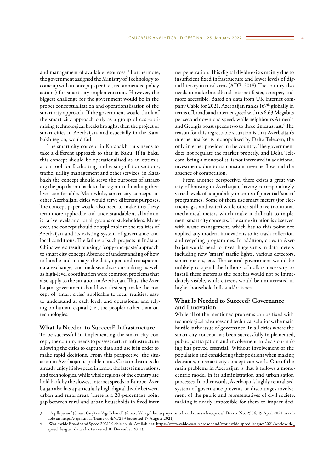and management of available resources'.3 Furthermore, the government assigned the Ministry of Technology to come up with a concept paper (i.e., recommended policy actions) for smart city implementation. However, the biggest challenge for the government would be in the proper conceptualisation and operationalisation of the smart city approach. If the government would think of the smart city approach only as a group of cost-optimising technological breakthroughs, then the project of smart cities in Azerbaijan, and especially in the Karabakh region, would fail.

The smart city concept in Karabakh thus needs to take a different approach to that in Baku. If in Baku this concept should be operationalised as an optimisation tool for facilitating and easing of transactions, traffic, utility management and other services, in Karabakh the concept should serve the purposes of attracting the population back to the region and making their lives comfortable. Meanwhile, smart city concepts in other Azerbaijani cities would serve different purposes. The concept paper would also need to make this fuzzy term more applicable and understandable at all administrative levels and for all groups of stakeholders. Moreover, the concept should be applicable to the realities of Azerbaijan and its existing system of governance and local conditions. The failure of such projects in India or China were a result of using a 'copy-and-paste' approach to smart city concept Absence of understanding of how to handle and manage the data, open and transparent data exchange, and inclusive decision-making as well as high-level coordination were common problems that also apply to the situation in Azerbaijan. Thus, the Azerbaijani government should as a first step make the concept of 'smart cities' applicable to local realities; easy to understand at each level; and operational and relying on human capital (i.e., the people) rather than on technologies.

# **What Is Needed to Succeed? Infrastructure**

To be successful in implementing the smart city concept, the country needs to possess certain infrastructure allowing the cities to capture data and use it in order to make rapid decisions. From this perspective, the situation in Azerbaijan is problematic. Certain districts do already enjoy high-speed internet, the latest innovations, and technologies, while whole regions of the country are hold back by the slowest internet speeds in Europe. Azerbaijan also has a particularly high digital divide between urban and rural areas. There is a 20-percentage point gap between rural and urban households in fixed internet penetration. This digital divide exists mainly due to insufficient fixed infrastructure and lower levels of digital literacy in rural areas (ADB, 2018). The country also needs to make broadband internet faster, cheaper, and more accessible. Based on data from UK internet company Cable for 2021, Azerbaijan ranks 167<sup>th</sup> globally in terms of broadband internet speed with its 6.63 Megabits per second download speed, while neighbours Armenia and Georgia boast speeds two to three times as fast.<sup>4</sup> The reason for this regrettable situation is that Azerbaijan's internet market is monopolized by Delta Telecom, the only internet provider in the country. The government does not regulate the market properly, and Delta Telecom, being a monopolist, is not interested in additional investments due to its constant revenue flow and the absence of competition.

From another perspective, there exists a great variety of housing in Azerbaijan, having correspondingly varied levels of adaptability in terms of potential 'smart' programmes. Some of them use smart meters (for electricity, gas and water) while other still have traditional mechanical meters which make it difficult to implement smart city concepts. The same situation is observed with waste management, which has to this point not applied any modern innovations to its trash collection and recycling programmes. In addition, cities in Azerbaijan would need to invest huge sums in data meters including new 'smart' traffic lights, various detectors, smart meters, etc. The central government would be unlikely to spend the billions of dollars necessary to install these meters as the benefits would not be immediately visible, while citizens would be uninterested in higher household bills and/or taxes.

# **What Is Needed to Succeed? Governance and Innovation**

While all of the mentioned problems can be fixed with technological advances and technical solutions, the main hurdle is the issue of governance. In all cities where the smart city concept has been successfully implemented, public participation and involvement in decision-making has proved essential. Without involvement of the population and considering their positions when making decisions, no smart city concept can work. One of the main problems in Azerbaijan is that it follows a monocentric model in its administration and urbanisation processes. In other words, Azerbaijan's highly centralised system of governance prevents or discourages involvement of the public and representatives of civil society, making it nearly impossible for them to impact deci-

<sup>3</sup> '"Ağıllı şəhər" (Smart City) və "Ağıllı kənd" (Smart Village) konsepsiyasının hazırlanması haqqında', Decree No. 2584, 19 April 2021. Available at: <http://e-qanun.az/framework/47263>(accessed 17 August 2021).

<sup>4</sup> 'Worldwide Broadband Speed 2021', Cable.co.uk. Available at: [https://www.cable.co.uk/broadband/worldwide-speed-league/2021/worldwide\\_](https://www.cable.co.uk/broadband/worldwide-speed-league/2021/worldwide_speed_league_data.xlsx) [speed\\_league\\_data.xlsx](https://www.cable.co.uk/broadband/worldwide-speed-league/2021/worldwide_speed_league_data.xlsx) (accessed 10 December 2021).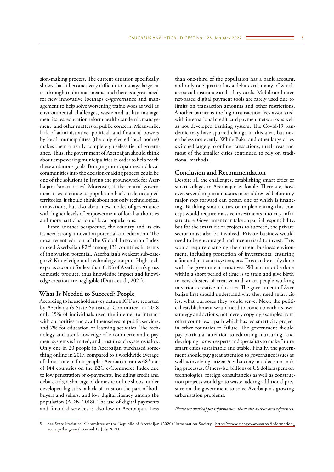sion-making process. The current situation specifically shows that it becomes very difficult to manage large cities through traditional means, and there is a great need for new innovative (perhaps e-)governance and management to help solve worsening traffic woes as well as environmental challenges, waste and utility management issues, education reform health/pandemic management, and other matters of public concern. Meanwhile, lack of administrative, political, and financial powers by local municipalities (the only elected local bodies) makes them a nearly completely useless tier of governance. Thus, the government of Azerbaijan should think about empowering municipalities in order to help reach these ambitious goals. Bringing municipalities and local communities into the decision-making process could be one of the solutions in laying the groundwork for Azerbaijani 'smart cities'. Moreover, if the central government tries to entice its population back to de-occupied territories, it should think about not only technological innovations, but also about new modes of governance with higher levels of empowerment of local authorities and more participation of local populations.

From another perspective, the country and its cities need strong innovation potential and education. The most recent edition of the Global Innovation Index ranked Azerbaijan 82nd among 131 countries in terms of innovation potential. Azerbaijan's weakest sub-category? Knowledge and technology output. High-tech exports account for less than 0.1% of Azerbaijan's gross domestic product, thus knowledge impact and knowledge creation are negligible (Dutta et al., 2021).

#### **What Is Needed to Succeed? People**

According to household survey data on ICT use reported by Azerbaijan's State Statistical Committee, in 2018 only 15% of individuals used the internet to interact with authorities and avail themselves of public services, and 7% for education or learning activities. The technology and user knowledge of e-commerce and e-payment systems is limited, and trust in such systems is low. Only one in 20 people in Azerbaijan purchased something online in 2017, compared to a worldwide average of almost one in four people.<sup>5</sup> Azerbaijan ranks 68<sup>th</sup> out of 144 countries on the B2C e-Commerce Index due to low penetration of e-payments, including credit and debit cards, a shortage of domestic online shops, underdeveloped logistics, a lack of trust on the part of both buyers and sellers, and low digital literacy among the population (ADB, 2018). The use of digital payments and financial services is also low in Azerbaijan. Less

than one-third of the population has a bank account, and only one quarter has a debit card, many of which are social insurance and salary cards. Mobile and internet-based digital payment tools are rarely used due to limits on transaction amounts and other restrictions. Another barrier is the high transaction fees associated with international credit card payment networks as well as not developed banking system. The Covid-19 pandemic may have spurred change in this area, but nevertheless not evenly. While Baku and other large cities switched largely to online transactions, rural areas and most of the smaller cities continued to rely on traditional methods.

## **Conclusion and Recommendation**

Despite all the challenges, establishing smart cities or smart villages in Azerbaijan is doable. There are, however, several important issues to be addressed before any major step forward can occur, one of which is financing. Building smart cities or implementing this concept would require massive investments into city infrastructure. Government can take on partial responsibility, but for the smart cities projects to succeed, the private sector must also be involved. Private business would need to be encouraged and incentivised to invest. This would require changing the current business environment, including protection of investments, ensuring a fair and just court system, etc. This can be easily done with the government initiatives. What cannot be done within a short period of time is to train and give birth to new clusters of creative and smart people working in various creative industries. The government of Azerbaijan first should understand why they need smart cities, what purposes they would serve. Next, the political establishment would need to come up with its own strategy and actions, not merely copying examples from other countries, a path which has led smart city project in other countries to failure. The government should pay particular attention to educating, nurturing, and developing its own experts and specialists to make future smart cities sustainable and stable. Finally, the government should pay great attention to governance issues as well as involving citizens/civil society into decision-making processes. Otherwise, billions of US dollars spent on technologies, foreign consultancies as well as construction projects would go to waste, adding additional pressure on the government to solve Azerbaijan's growing urbanisation problems.

#### *Please see overleaf for information about the author and references.*

<sup>5</sup> See State Statistical Committee of the Republic of Azerbaijan (2020) 'Information Society', [https://www.stat.gov.az/source/information\\_](https://www.stat.gov.az/source/information_society/?lang=en) [society/?lang=en](https://www.stat.gov.az/source/information_society/?lang=en) (accessed 18 July 2021).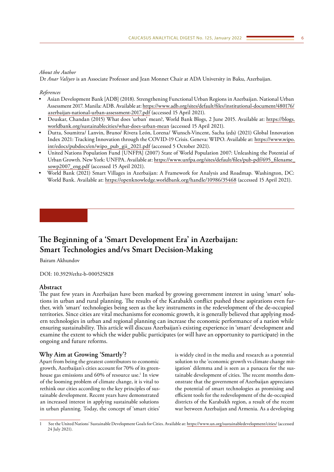## <span id="page-5-0"></span>*About the Author*

Dr *Anar Valiyev* is an Associate Professor and Jean Monnet Chair at ADA University in Baku, Azerbaijan.

*References*

- Asian Development Bank [ADB] (2018). Strengthening Functional Urban Regions in Azerbaijan. National Urban Assessment 2017. Manila: ADB. Available at: [https://www.adb.org/sites/default/files/institutional-document/480176/](https://www.adb.org/sites/default/files/institutional-document/480176/azerbaijan-national-urban-assessment-2017.pdf) [azerbaijan-national-urban-assessment-2017.pdf](https://www.adb.org/sites/default/files/institutional-document/480176/azerbaijan-national-urban-assessment-2017.pdf) (accessed 15 April 2021).
- Deuskar, Chandan (2015) What does 'urban' mean?, World Bank Blogs, 2 June 2015. Available at: [https://blogs.](https://blogs.worldbank.org/sustainablecities/what-does-urban-mean) [worldbank.org/sustainablecities/what-does-urban-mean](https://blogs.worldbank.org/sustainablecities/what-does-urban-mean) (accessed 15 April 2021).
- Dutta, Soumitra/ Lanvin, Bruno/ Rivera León, Lorena/ Wunsch-Vincent, Sacha (eds) (2021) Global Innovation Index 2021: Tracking Innovation through the COVID-19 Crisis. Geneva: WIPO. Available at: [https://www.wipo.](https://www.wipo.int/edocs/pubdocs/en/wipo_pub_gii_2021.pdf) [int/edocs/pubdocs/en/wipo\\_pub\\_gii\\_2021.pdf](https://www.wipo.int/edocs/pubdocs/en/wipo_pub_gii_2021.pdf) (accessed 5 October 2021).
- United Nations Population Fund [UNFPA] (2007) State of World Population 2007: Unleashing the Potential of Urban Growth. New York: UNFPA. Available at: [https://www.unfpa.org/sites/default/files/pub-pdf/695\\_filename\\_](https://www.unfpa.org/sites/default/files/pub-pdf/695_filename_sowp2007_eng.pdf) [sowp2007\\_eng.pdf](https://www.unfpa.org/sites/default/files/pub-pdf/695_filename_sowp2007_eng.pdf) (accessed 15 April 2021).
- World Bank (2021) Smart Villages in Azerbaijan: A Framework for Analysis and Roadmap. Washington, DC: World Bank. Available at:<https://openknowledge.worldbank.org/handle/10986/35468>(accessed 15 April 2021).

# **The Beginning of a 'Smart Development Era' in Azerbaijan: Smart Technologies and/vs Smart Decision-Making**

Bairam Akhundov

DOI: 10.3929/ethz-b-000525828

#### **Abstract**

The past few years in Azerbaijan have been marked by growing government interest in using 'smart' solutions in urban and rural planning. The results of the Karabakh conflict pushed these aspirations even further, with 'smart' technologies being seen as the key instruments in the redevelopment of the de-occupied territories. Since cities are vital mechanisms for economic growth, it is generally believed that applying modern technologies in urban and regional planning can increase the economic performance of a nation while ensuring sustainability. This article will discuss Azerbaijan's existing experience in 'smart' development and examine the extent to which the wider public participates (or will have an opportunity to participate) in the ongoing and future reforms.

## **Why Aim at Growing 'Smartly'?**

Apart from being the greatest contributors to economic growth, Azerbaijan's cities account for 70% of its greenhouse gas emissions and 60% of resource use.<sup>1</sup> In view of the looming problem of climate change, it is vital to rethink our cities according to the key principles of sustainable development. Recent years have demonstrated an increased interest in applying sustainable solutions in urban planning. Today, the concept of 'smart cities'

is widely cited in the media and research as a potential solution to the 'economic growth vs climate change mitigation' dilemma and is seen as a panacea for the sustainable development of cities. The recent months demonstrate that the government of Azerbaijan appreciates the potential of smart technologies as promising and efficient tools for the redevelopment of the de-occupied districts of the Karabakh region, a result of the recent war between Azerbaijan and Armenia. As a developing

<sup>1</sup> See the United Nations' Sustainable Development Goals for Cities. Available at:<https://www.un.org/sustainabledevelopment/cities/> (accessed 24 July 2021).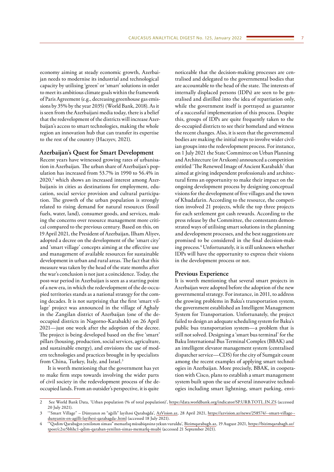economy aiming at steady economic growth, Azerbaijan needs to modernise its industrial and technological capacity by utilising 'green' or 'smart' solutions in order to meet its ambitious climate goals within the framework of Paris Agreement (e.g., decreasing greenhouse gas emissions by 35% by the year 2035) (World Bank, 2018). As it is seen from the Azerbaijani media today, there is a belief that the redevelopment of the districts will increase Azerbaijan's access to smart technologies, making the whole region an innovation hub that can transfer its expertise to the rest of the country (Hacıyev, 2021).

## **Azerbaijan's Quest for Smart Development**

Recent years have witnessed growing rates of urbanisation in Azerbaijan. The urban share of Azerbaijan's population has increased from 53.7% in 1990 to 56.4% in  $2020,^2$  which shows an increased interest among Azerbaijanis in cities as destinations for employment, education, social service provision and cultural participation. The growth of the urban population is strongly related to rising demand for natural resources (fossil fuels, water, land), consumer goods, and services, making the concerns over resource management more critical compared to the previous century. Based on this, on 19 April 2021, the President of Azerbaijan, Ilham Aliyev, adopted a decree on the development of the 'smart city' and 'smart village' concepts aiming at the effective use and management of available resources for sustainable development in urban and rural areas. The fact that this measure was taken by the head of the state months after the war's conclusion is not just a coincidence. Today, the post-war period in Azerbaijan is seen as a starting point of a new era, in which the redevelopment of the de-occupied territories stands as a national strategy for the coming decades. It is not surprising that the first 'smart village' project was announced in the village of Aghaly in the Zangilan district of Azerbaijan (one of the deoccupied districts in Nagorno-Karabakh) on 26 April 2021—just one week after the adoption of the decree. The project is being developed based on the five 'smart' pillars (housing, production, social services, agriculture, and sustainable energy), and envisions the use of modern technologies and practices brought in by specialists from China, Turkey, Italy, and Israel.<sup>3</sup>

It is worth mentioning that the government has yet to make firm steps towards involving the wider parts of civil society in the redevelopment process of the deoccupied lands. From an outsider's perspective, it is quite

noticeable that the decision-making processes are centralised and delegated to the governmental bodies that are accountable to the head of the state. The interests of internally displaced persons (IDPs) are seen to be generalised and distilled into the idea of repatriation only, while the government itself is portrayed as guarantor of a successful implementation of this process. Despite this, groups of IDPs are quite frequently taken to the de-occupied districts to see their homeland and witness the recent changes. Also, it is seen that the governmental bodies are making the initial steps to involve wider civilian groups into the redevelopment process. For instance, on 1 July 2021 the State Committee on Urban Planning and Architecture (or Arxkom) announced a competition entitled 'The Renewed Image of Ancient Karabakh' that aimed at giving independent professionals and architectural firms an opportunity to make their impact on the ongoing development process by designing conceptual visions for the development of five villages and the town of Khudafarin. According to the resource, the competition involved 21 projects, while the top three projects for each settlement got cash rewards. According to the press release by the Committee, the contestants demonstrated ways of utilising smart solutions in the planning and development processes, and the best suggestions are promised to be considered in the final decision-making process.4 Unfortunately, it is still unknown whether IDPs will have the opportunity to express their visions in the development process or not.

# **Previous Experience**

It is worth mentioning that several smart projects in Azerbaijan were adopted before the adoption of the new governmental strategy. For instance, in 2011, to address the growing problems in Baku's transportation system, the government established an Intelligent Management System for Transportation. Unfortunately, the project failed to design an adequate scheduling system for Baku's public bus transportation system—a problem that is still not solved. Designing a 'smart bus terminal' for the Baku International Bus Terminal Complex (BBAK) and an intelligent elevator management system (centralised dispatcher service—CDS) for the city of Sumgait count among the recent examples of applying smart technologies in Azerbaijan. More precisely, BBAK, in cooperation with Cisco, plans to establish a smart management system built upon the use of several innovative technologies including smart lightning, smart parking, envi-

<sup>2</sup> See World Bank Data, 'Urban population (% of total population)', <https://data.worldbank.org/indicator/SP.URB.TOTL.IN.ZS>(accessed 20 July 2021).

<sup>3</sup> '"Smart Village" – Dünyanın ən "ağıllı" layihəsi Qarabağda', [AzVision.az](http://AzVision.az), 28 April 2021, [https://azvision.az/news/258574/--smart-village-](https://azvision.az/news/258574/--smart-village--dunyanin-en-agilli-layihesi-qarabagda-.html) [dunyanin-en-agilli-layihesi-qarabagda-.html](https://azvision.az/news/258574/--smart-village--dunyanin-en-agilli-layihesi-qarabagda-.html) (accessed 18 July 2021).

<sup>4</sup> '"Qədim Qarabağın yenilənən siması" memarlıq müsabiqəsinə yekun vuruldu', [Bizimqarabagh.az,](http://Bizimqarabagh.az) 19 August 2021, [https://bizimqarabagh.az/](https://bizimqarabagh.az/tpost/c2sz5bhhc1-qdim-qaraban-yenilnn-simas-memarlq-msabi) [tpost/c2sz5bhhc1-qdim-qaraban-yenilnn-simas-memarlq-msabi](https://bizimqarabagh.az/tpost/c2sz5bhhc1-qdim-qaraban-yenilnn-simas-memarlq-msabi) (accessed 21 September 2021).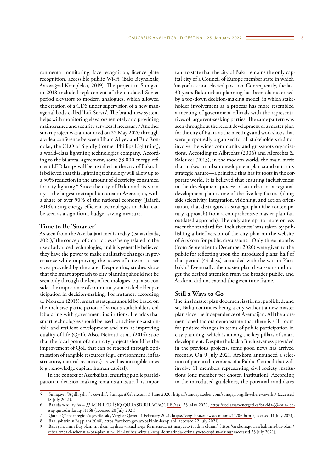ronmental monitoring, face recognition, licence plate recognition, accessible public Wi-Fi (Bakı Beynəlxalq Avtovağzal Kompleksi, 2019). The project in Sumgait in 2018 included replacement of the outdated Sovietperiod elevators to modern analogues, which allowed the creation of a CDS under supervision of a new managerial body called 'Lift Servis'. The brand-new system helps with monitoring elevators remotely and providing maintenance and security services if necessary.5 Another smart project was announced on 22 May 2020 through a video conference between Ilham Aliyev and Eric Rondolat, the CEO of Signify (former Phillips Lightning), a world-class lightning technologies company. According to the bilateral agreement, some 33,000 energy-efficient LED lamps will be installed in the city of Baku. It is believed that this lightning technology will allow up to a 50% reduction in the amount of electricity consumed for city lighting.6 Since the city of Baku and its vicinity is the largest metropolitan area in Azerbaijan, with a share of over 90% of the national economy (Jafarli, 2018), using energy-efficient technologies in Baku can be seen as a significant budget-saving measure.

## **Time to Be 'Smarter'**

As seen from the Azerbaijani media today (İsmayılzadə,  $2021$ ), $7$  the concept of smart cities is being related to the use of advanced technologies, and it is generally believed they have the power to make qualitative changes in governance while improving the access of citizens to services provided by the state. Despite this, studies show that the smart approach to city planning should not be seen only through the lens of technologies, but also consider the importance of community and stakeholder participation in decision-making. For instance, according to Monzon (2015), smart strategies should be based on the inclusive participation of various stakeholders collaborating with government institutions. He adds that smart technologies should be used for achieving sustainable and resilient development and aim at improving quality of life (QoL). Also, Neirotti et al. (2014) state that the focal point of smart city projects should be the improvement of QoL that can be reached through optimisation of tangible resources (e.g., environment, infrastructure, natural resources) as well as intangible ones (e.g., knowledge capital, human capital).

In the context of Azerbaijan, ensuring public participation in decision-making remains an issue. It is impor-

tant to state that the city of Baku remains the only capital city of a Council of Europe member state in which 'mayor' is a non-elected position. Consequently, the last 30 years Baku urban planning has been characterised by a top-down decision-making model, in which stakeholder involvement as a process has more resembled a meeting of government officials with the representatives of large rent-seeking parties. The same pattern was seen throughout the recent development of a master plan for the city of Baku, as the meetings and workshops that were purportedly organised for all stakeholders did not involve the wider community and grassroots organisations. According to Albrechts (2006) and Albrechts & Balducci (2013), in the modern world, the main merit that makes an urban development plan stand out is its strategic nature—a principle that has its roots in the corporate world. It is believed that ensuring inclusiveness in the development process of an urban or a regional development plan is one of the five key factors (alongside selectivity, integration, visioning, and action orientation) that distinguish a strategic plan (the contemporary approach) from a comprehensive master plan (an outdated approach). The only attempt to more or less meet the standard for 'inclusiveness' was taken by publishing a brief version of the city plan on the website of Arxkom for public discussions.8 Only three months (from September to December 2020) were given to the public for reflecting upon the introduced plans; half of that period (44 days) coincided with the war in Karabakh.9 Eventually, the master plan discussions did not get the desired attention from the broader public, and Arxkom did not extend the given time frame.

## **Still a Ways to Go**

The final master plan document is still not published, and so, Baku continues being a city without a new master plan since the independence of Azerbaijan. All the aforementioned factors demonstrate that there is still room for positive changes in terms of public participation in city planning, which is among the key pillars of smart development. Despite the lack of inclusiveness provided in the previous projects, some good news has arrived recently. On 9 July 2021, Arxkom announced a selection of potential members of a Public Council that will involve 11 members representing civil society institutions (one member per chosen institution). According to the introduced guidelines, the potential candidates

<sup>5</sup> 'Sumqayıt "Ağıllı şəhər"ə çevrilir', [SumqayitXeber.com,](http://SumqayitXeber.com) 3 June 2020, <https://sumqayitxeber.com/sumqayit-agilli-sehere-cevrilir/>(accessed 18 July 2021).

<sup>6</sup> 'Bakıda yeni layihə – 33 MİN LED İŞIQ QURAŞDIRILACAQ', [FED.az](http://FED.az). 23 May 2020, [https://fed.az/az/energetika/bakida-33-min-led](https://fed.az/az/energetika/bakida-33-min-led-isiq-qurasdirilacaq-81168)[isiq-qurasdirilacaq-81168](https://fed.az/az/energetika/bakida-33-min-led-isiq-qurasdirilacaq-81168) (accessed 20 July 2021).

<sup>7</sup> 'Qarabağ "smart region"a çevriləcək', Vergilər Qəzeti, 1 February 2021,<https://vergiler.az/news/economy/11706.html>(accessed 11 July 2021). 8 'Bakı şəhərinin Baş planı 2040', <https://arxkom.gov.az/bakinin-bas-plani> (accessed 22 July 2021).

<sup>9</sup> 'Bakı şəhərinin Baş planının ilkin layihəsi virtual sərgi formatında ictimaiyyətə təqdim olunur', [https://arxkom.gov.az/bakinin-bas-plani/](https://arxkom.gov.az/bakinin-bas-plani/xeberler/baki-seherinin-bas-planinin-ilkin-layihesi-virtual-sergi-formatinda-ictimaiyyete-teqdim-olunur) [xeberler/baki-seherinin-bas-planinin-ilkin-layihesi-virtual-sergi-formatinda-ictimaiyyete-teqdim-olunur](https://arxkom.gov.az/bakinin-bas-plani/xeberler/baki-seherinin-bas-planinin-ilkin-layihesi-virtual-sergi-formatinda-ictimaiyyete-teqdim-olunur) (accessed 23 July 2021).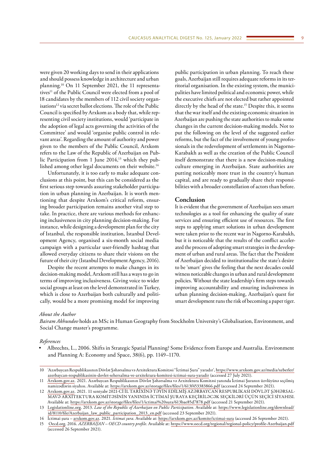were given 20 working days to send in their applications and should possess knowledge in architecture and urban planning.10 On 11 September 2021, the 11 representatives<sup>11</sup> of the Public Council were elected from a pool of 18 candidates by the members of 112 civil society organisations<sup>12</sup> via secret ballot elections. The role of the Public Council is specified by Arxkom as a body that, while representing civil society institutions, would 'participate in the adoption of legal acts governing the activities of the Committee' and would 'organise public control in relevant areas'. Regarding the amount of authority and power given to the members of the Public Council, Arxkom refers to the Law of the Republic of Azerbaijan on Public Participation from 1 June 2014,<sup>13</sup> which they published among other legal documents on their website.<sup>14</sup>

Unfortunately, it is too early to make adequate conclusions at this point, but this can be considered as the first serious step towards assuring stakeholder participation in urban planning in Azerbaijan. It is worth mentioning that despite Arxkom's critical reform, ensuring broader participation remains another vital step to take. In practice, there are various methods for enhancing inclusiveness in city planning decision-making. For instance, while designing a development plan for the city of Istanbul, the responsible institution, Istanbul Development Agency, organised a six-month social media campaign with a particular user-friendly hashtag that allowed everyday citizens to share their visions on the future of their city (Istanbul Development Agency, 2016).

Despite the recent attempts to make changes in its decision-making model, Arxkom still has a ways to go in terms of improving inclusiveness. Giving voice to wider social groups at least on the level demonstrated in Turkey, which is close to Azerbaijan both culturally and politically, would be a more promising model for improving

public participation in urban planning. To reach these goals, Azerbaijan still requires adequate reforms in its territorial organisation. In the existing system, the municipalities have limited political and economic power, while the executive chiefs are not elected but rather appointed directly by the head of the state.<sup>15</sup> Despite this, it seems that the war itself and the existing economic situation in Azerbaijan are pushing the state authorities to make some changes in the current decision-making models. Not to put the following on the level of the suggested earlier reforms, but the fact of the involvement of young professionals in the redevelopment of settlements in Nagorno-Karabakh as well as the creation of the Public Council itself demonstrate that there is a new decision-making culture emerging in Azerbaijan. State authorities are putting noticeably more trust in the country's human capital, and are ready to gradually share their responsibilities with a broader constellation of actors than before.

# **Conclusion**

It is evident that the government of Azerbaijan sees smart technologies as a tool for enhancing the quality of state services and ensuring efficient use of resources. The first steps to applying smart solutions in urban development were taken prior to the recent war in Nagorno-Karabakh, but it is noticeable that the results of the conflict accelerated the process of adopting smart strategies in the development of urban and rural areas. The fact that the President of Azerbaijan decided to institutionalise the state's desire to be 'smart' gives the feeling that the next decades could witness noticeable changes in urban and rural development policies. Without the state leadership's firm steps towards improving accountability and ensuring inclusiveness in urban planning decision-making, Azerbaijan's quest for smart development runs the risk of becoming a paper tiger.

#### *About the Author*

*Bairam Akhundov* holds an MSc in Human Geography from Stockholm University's Globalisation, Environment, and Social Change master's programme.

## *References*

• Albrechts, L., 2006. Shifts in Strategic Spatial Planning? Some Evidence from Europe and Australia. Environment and Planning A: Economy and Space, 38(6), pp. 1149–1170.

<sup>10</sup> 'Azərbaycan Respublikasının Dövlət Şəhərsalma və Arxitektura Komitəsi "İctimai Şura" yaradır', [https://www.arxkom.gov.az/media/xeberler/](https://www.arxkom.gov.az/media/xeberler/azerbaycan-respublikasinin-dovlet-sehersalma-ve-arxitektura-komitesi-ictimai-sura-yaradir) [azerbaycan-respublikasinin-dovlet-sehersalma-ve-arxitektura-komitesi-ictimai-sura-yaradir](https://www.arxkom.gov.az/media/xeberler/azerbaycan-respublikasinin-dovlet-sehersalma-ve-arxitektura-komitesi-ictimai-sura-yaradir) (accessed 27 July 2021).

<sup>11</sup> [Arxkom.gov.az.](http://Arxkom.gov.az) 2021. Azərbaycan Respublikasının Dövlət Şəhərsalma və Arxitektura Komitəsi yanında İctimai Şuranın üzvlüyünə seçilmiş namizədlərin siyahısı. Available at: <https://arxkom.gov.az/storage/files/files/1/613f453383866.pdf> (accessed 24 September 2021).

<sup>12</sup> [Arxkom.gov.az.](http://Arxkom.gov.az) 2021. 11 sentyabr 2021-Cİ İL TARİXİNƏ TƏYİN EDİLMİŞ AZƏRBAYCAN RESPUBLİKASI DÖVLƏT ŞƏHƏRSAL-MAVƏ ARXİTEKTURA KOMİTƏSİNİN YANINDA İCTİMAİ ŞURAYA KEÇİRİLƏCƏK SEÇKİLƏRİ ÜÇÜN SEÇİCİ SİYAHISI. Available at: [https://arxkom.gov.az/storage/files/files/1/ictimai%20sura/613bae85d7878.pdf](https://arxkom.gov.az/storage/files/files/1/ictimai sura/613bae85d7878.pdf) (accessed 21 September 2021).

<sup>13</sup> [Legislationline.org](http://Legislationline.org). 2013. *Law of the Republic of Azerbaijan on Public Participation*. Available at: [https://www.legislationline.org/download/](https://www.legislationline.org/download/id/8110/file/Azerbaijan_law_public_participation_2013_en.pdf) [id/8110/file/Azerbaijan\\_law\\_public\\_participation\\_2013\\_en.pdf](https://www.legislationline.org/download/id/8110/file/Azerbaijan_law_public_participation_2013_en.pdf) (accessed 23 September 2021).

<sup>14</sup> İctimai şura – [arxkom.gov.az](http://arxkom.gov.az). 2021. *İctimai şura*. Available at:<https://arxkom.gov.az/komite/ictimai-sura>(accessed 26 September 2021).

<sup>15</sup> [Oecd.org](http://Oecd.org). 2016. *AZERBAIJAN – OECD country profile*. Available at: <https://www.oecd.org/regional/regional-policy/profile-Azerbaijan.pdf> (accessed 26 September 2021).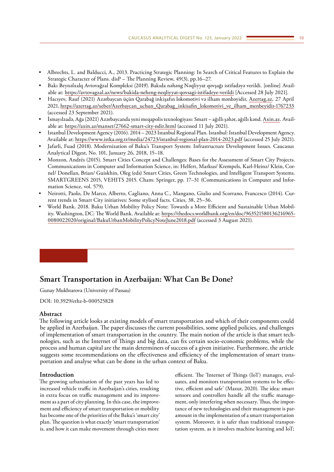- <span id="page-9-0"></span>• Albrechts, L. and Balducci, A., 2013. Practicing Strategic Planning: In Search of Critical Features to Explain the Strategic Character of Plans. disP – The Planning Review, 49(3), pp.16–27.
- Bakı Beynəlxalq Avtovağzal Kompleksi (2019). Bakıda nəhəng Nəqliyyat qovşağı istifadəyə verildi. [online] Available at: <https://avtovagzal.az/news/bakida-neheng-neqliyyat-qovsagi-istifadeye-verildi>[Accessed 28 July 2021].
- Hacıyev, Rauf (2021) Azərbaycan üçün Qarabağ inkişafın lokomotivi və ilham mənbəyidir, [Azertag.az](http://Azertag.az), 27 April 2021, [https://azertag.az/xeber/Azerbaycan\\_uchun\\_Qarabag\\_inkisafin\\_lokomotivi\\_ve\\_ilham\\_menbeyidir-1767233](https://azertag.az/xeber/Azerbaycan_uchun_Qarabag_inkisafin_lokomotivi_ve_ilham_menbeyidir-1767233) (accessed 23 September 2021).
- İsmayılzadə, Ağa (2021) Azərbaycanda yeni meqapolis texnologiyası: Smart ağıllı şəhər, ağıllı kənd. [Axin.az.](http://Axin.az) Available at: <https://axin.az/manset/27662-smart-city-ndir.html>(accessed 11 July 2021).
- Istanbul Development Agency (2016). 2014 2023 Istanbul Regional Plan. Istanbul: Istanbul Development Agency. Available at:<https://www.istka.org.tr/media/24723/istanbul-regional-plan-2014-2023.pdf> (accessed 25 July 2021).
- Jafarli, Fuad (2018). Modernization of Baku's Transport System: Infrastructure Development Issues. Caucasus Analytical Digest, No. 101, January 26, 2018, 15–18.
- Monzon, Andrés (2015). Smart Cities Concept and Challenges: Bases for the Assessment of Smart City Projects. Communications in Computer and Information Science, in: Helfert, Markus/ Krempels, Karl-Heinz/ Klein, Cornel/ Donellan, Brian/ Guiskhin, Oleg (eds) Smart Cities, Green Technologies, and Intelligent Transport Systems. SMARTGREENS 2015, VEHITS 2015. Cham: Springer, pp. 17–31 (Communications in Computer and Information Science, vol. 579).
- Neirotti, Paolo, De Marco, Alberto, Cagliano, Anna C., Mangano, Giulio and Scorrano, Francesco (2014). Current trends in Smart City initiatives: Some stylised facts. Cities, 38, 25–36.
- World Bank. 2018. Baku Urban Mobility Policy Note: Towards a More Efficient and Sustainable Urban Mobility. Washington, DC: The World Bank. Available at: [https://thedocs.worldbank.org/en/doc/963521580136216965-](https://thedocs.worldbank.org/en/doc/963521580136216965-0080022020/original/BakuUrbanMobilityPolicyNoteJune2018.pdf) [0080022020/original/BakuUrbanMobilityPolicyNoteJune2018.pdf](https://thedocs.worldbank.org/en/doc/963521580136216965-0080022020/original/BakuUrbanMobilityPolicyNoteJune2018.pdf) (accessed 3 August 2021).

# **Smart Transportation in Azerbaijan: What Can Be Done?**

Gunay Mukhtarova (University of Passau)

DOI: 10.3929/ethz-b-000525828

#### **Abstract**

The following article looks at existing models of smart transportation and which of their components could be applied in Azerbaijan. The paper discusses the current possibilities, some applied policies, and challenges of implementation of smart transportation in the country. The main notion of the article is that smart technologies, such as the Internet of Things and big data, can fix certain socio-economic problems, while the process and human capital are the main determiners of success of a given initiative. Furthermore, the article suggests some recommendations on the effectiveness and efficiency of the implementation of smart transportation and analyse what can be done in the urban context of Baku.

#### **Introduction**

The growing urbanisation of the past years has led to increased vehicle traffic in Azerbaijan's cities, resulting in extra focus on traffic management and its improvement as a part of city planning. In this case, the improvement and efficiency of smart transportation or mobility has become one of the priorities of the Baku's 'smart city' plan. The question is what exactly 'smart transportation' is, and how it can make movement through cities more

efficient. The 'Internet of Things (IoT) manages, evaluates, and monitors transportation systems to be effective, efficient and safe' (Mazur, 2020). The idea: smart sensors and controllers handle all the traffic management, only interfering when necessary. Thus, the importance of new technologies and their management is paramount in the implementation of a smart transportation system. Moreover, it is safer than traditional transportation system, as it involves machine learning and IoT;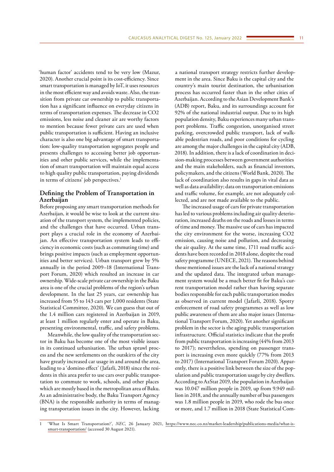'human factor' accidents tend to be very low (Mazur, 2020). Another crucial point is its cost-efficiency. Since smart transportation is managed by IoT, it uses resources in the most efficient way and avoids waste. Also, the transition from private car ownership to public transportation has a significant influence on everyday citizens in terms of transportation expenses. The decrease in CO2 emissions, less noise and cleaner air are worthy factors to mention because fewer private cars are used when public transportation is sufficient. Having an inclusive character is also one big advantage of smart transportation: low-quality transportation segregates people and presents challenges to accessing better job opportunities and other public services, while the implementation of smart transportation will maintain equal access to high quality public transportation, paying dividends in terms of citizens' job perspectives.<sup>1</sup>

# **Defining the Problem of Transportation in Azerbaijan**

Before proposing any smart transportation methods for Azerbaijan, it would be wise to look at the current situation of the transport system, the implemented policies, and the challenges that have occurred. Urban transport plays a crucial role in the economy of Azerbaijan. An effective transportation system leads to efficiency in economic costs (such as commuting time) and brings positive impacts (such as employment opportunities and better services). Urban transport grew by 5% annually in the period 2009–18 (International Transport Forum, 2020) which resulted an increase in car ownership. Wide-scale private car ownership in the Baku area is one of the crucial problems of the region's urban development. In the last 25 years, car ownership has increased from 55 to 143 cars per 1,000 residents (State Statistical Committee, 2020). We can guess that out of the 1.4 million cars registered in Azerbaijan in 2019, at least 1 million regularly enter and operate in Baku, presenting environmental, traffic, and safety problems.

Meanwhile, the low quality of the transportation sector in Baku has become one of the most visible issues in its continued urbanisation. The urban sprawl process and the new settlements on the outskirts of the city have greatly increased car usage in and around the area, leading to a 'domino effect' (Jafarli, 2018) since the residents in this area prefer to use cars over public transportation to commute to work, schools, and other places which are mostly based in the metropolitan area of Baku. As an administrative body, the Baku Transport Agency (BNA) is the responsible authority in terms of managing transportation issues in the city. However, lacking

a national transport strategy restricts further development in the area. Since Baku is the capital city and the country's main tourist destination, the urbanisation process has occurred faster than in the other cities of Azerbaijan. According to the Asian Development Bank's (ADB) report, Baku, and its surroundings account for 92% of the national industrial output. Due to its high population density, Baku experiences many urban transport problems. Traffic congestion, unorganised street parking, overcrowded public transport, lack of walkable pedestrian roads, and poor conditions for cycling are among the major challenges in the capital city (ADB, 2018). In addition, there is a lack of coordination in decision-making processes between government authorities and the main stakeholders, such as financial investors, policymakers, and the citizens (World Bank, 2020). The lack of coordination also results in gaps in vital data as well as data availability; data on transportation emissions and traffic volume, for example, are not adequately collected, and are not made available to the public.

The increased usage of cars for private transportation has led to various problems including air quality deterioration, increased deaths on the roads and losses in terms of time and money. The massive use of cars has impacted the city environment for the worse, increasing CO2 emission, causing noise and pollution, and decreasing the air quality. At the same time, 1711 road traffic accidents have been recorded in 2018 alone, despite the road safety programme (UNECE, 2021). The reasons behind those mentioned issues are the lack of a national strategy and the updated data. The integrated urban management system would be a much better fit for Baku's current transportation model rather than having separate bodies responsible for each public transportation modes as observed in current model (Jafarli, 2018). Spotty enforcement of road safety programmes as well as low public awareness of them are also major issues (International Transport Forum, 2020). Yet another significant problem in the sector is the aging public transportation infrastructure. Official statistics indicate that the profit from public transportation is increasing (44% from 2013 to 2017); nevertheless, spending on passenger transport is increasing even more quickly (77% from 2013 to 2017) (International Transport Forum 2020). Apparently, there is a positive link between the size of the population and public transportation usage by city dwellers. According to AzStat 2019, the population in Azerbaijan was 10.047 million people in 2019, up from 9.949 million in 2018, and the annually number of bus passengers was 1.8 million people in 2019, who rode the bus once or more, and 1.7 million in 2018 (State Statistical Com-

<sup>&#</sup>x27;What Is Smart Transportation?', *NEC*, 26 January 2021, [https://www.nec.co.nz/market-leadership/publications-media/what-is](https://www.nec.co.nz/market-leadership/publications-media/what-is-smart-transportation/)[smart-transportation/](https://www.nec.co.nz/market-leadership/publications-media/what-is-smart-transportation/) (accessed 30 August 2021).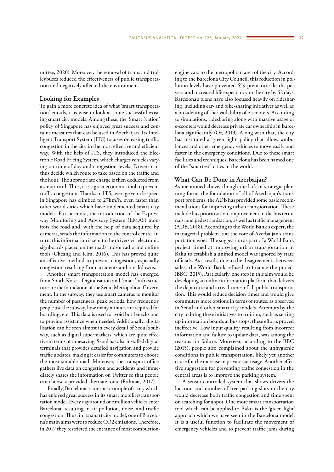mittee, 2020). Moreover, the removal of trams and trolleybuses reduced the effectiveness of public transportation and negatively affected the environment.

## **Looking for Examples**

To gain a more concrete idea of what 'smart transportation' entails, it is wise to look at some successful existing smart city models. Among these, the 'Smart Nation' policy of Singapore has enjoyed great success and contains measures that can be used in Azerbaijan. Its Intelligent Transport System (ITS) focuses on easing traffic congestion in the city in the most effective and efficient way. With the help of ITS, they introduced the Electronic Road Pricing System, which charges vehicles varying on time of day and congestion levels. Drivers can thus decide which route to take based on the traffic and the hour. The appropriate charge is then deducted from a smart card. Thus, it is a great economic tool to prevent traffic congestion. Thanks to ITS, average vehicle speed in Singapore has climbed to 27km/h, even faster than other world cities which have implemented smart city models. Furthermore, the introduction of the Expressway Monitoring and Advisory System (EMAS) monitors the road and, with the help of data acquired by cameras, sends the information to the control centre. In turn, this information is sent to the drivers via electronic signboards placed on the roads and/or radio and online tools (Cheang and Kim, 2016). This has proved quite an effective method to prevent congestion, especially congestion resulting from accidents and breakdowns.

Another smart transportation model has emerged from South Korea. Digitalisation and 'smart' infrastructure are the foundation of the Seoul Metropolitan Government. In the subway, they use smart cameras to monitor the number of passengers, peak periods, how frequently people use the subway, how many minutes are required for boarding, etc. This data is used to avoid bottlenecks and to provide assistance when needed. Additionally, digitalisation can be seen almost in every detail of Seoul's subway, such as digital supermarkets, which are quite effective in terms of timesaving. Seoul has also installed digital terminals that provides detailed navigation and provide traffic updates, making it easier for commuters to choose the most suitable road. Moreover, the transport office gathers live data on congestion and accidents and immediately shares the information on Twitter so that people can choose a provided alternate route (Rahmat, 2017).

Finally, Barcelona is another example of a city which has enjoyed great success in its smart mobility/transportation model. Every day around one million vehicles enter Barcelona, resulting in air pollution, noise, and traffic congestion. Thus, in its smart city model, one of Barcelona's main aims were to reduce CO2 emissions. Therefore, in 2017 they restricted the entrance of most combustionengine cars to the metropolitan area of the city. According to the Barcelona City Council, this reduction in pollution levels have prevented 659 premature deaths per year and increased life expectancy in the city by 52 days. Barcelona's plans have also focused heavily on ridesharing, including car- and bike-sharing initiatives as well as a broadening of the availability of e-scooters. According to simulations, ridesharing along with massive usage of e-scooters would decrease private car ownership in Barcelona significantly (Or, 2019). Along with that, the city has instituted a 'green light' policy that allows ambulances and other emergency vehicles to move easily and faster in the emergency conditions. Due to these smart facilities and techniques, Barcelona has been named one of the "smartest" cities in the world.

## **What Can Be Done in Azerbaijan?**

As mentioned above, though the lack of strategic planning forms the foundation of all of Azerbaijan's transport problems, the ADB has provided some basic recommendations for improving urban transportation. These include bus prioritisation, improvement in the bus terminals, and pedestrianisation, as well as traffic management (ADB, 2018). According to the World Bank's expert, the managerial problem is at the core of Azerbaijan's transportation woes. The suggestion as part of a World Bank project aimed at improving urban transportation in Baku to establish a unified model was ignored by state officials. As a result, due to the disagreements between sides, the World Bank refused to finance the project (BBC, 2015). Particularly, one step in this aim would be developing an online information platform that delivers the departure and arrival times of all public transportation. This would reduce decision times and would give commuters more options in terms of routes, as observed in Seoul and other smart city models. Attempts by the city to bring these initiatives to fruition, such as setting up information boards at bus stops, these efforts proved ineffective. Low input quality, resulting from incorrect information and failure to update data, was among the reasons for failure. Moreover, according to the BBC (2015), people also complained about the unhygienic conditions in public transportation, likely yet another cause for the increase in private car usage. Another effective suggestion for preventing traffic congestion in the central areas is to improve the parking system.

A sensor-controlled system that shows drivers the location and number of free parking slots in the city would decrease both traffic congestion and time spent on searching for a spot. One more smart transportation tool which can be applied to Baku is the 'green light' approach which we have seen in the Barcelona model. It is a useful function to facilitate the movement of emergency vehicles and to prevent traffic jams during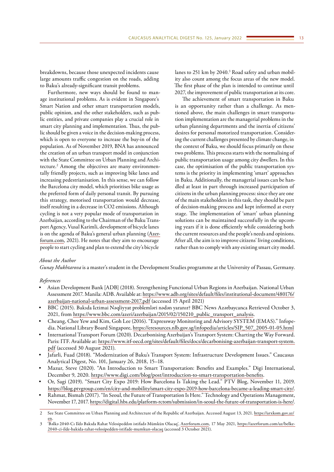breakdowns, because those unexpected incidents cause large amounts traffic congestion on the roads, adding to Baku's already-significant transit problems.

Furthermore, new ways should be found to manage institutional problems. As is evident in Singapore's Smart Nation and other smart transportation models, public opinion, and the other stakeholders, such as public entities, and private companies play a crucial role in smart city planning and implementation. Thus, the public should be given a voice in the decision-making process, which is open to everyone to increase the buy-in of the population. As of November 2019, BNA has announced the creation of an urban transport model in conjunction with the State Committee on Urban Planning and Architecture.2 Among the objectives are many environmentally friendly projects, such as improving bike lanes and increasing pedestrianisation. In this sense, we can follow the Barcelona city model, which prioritises bike usage as the preferred form of daily personal transit. By pursuing this strategy, motorised transportation would decrease, itself resulting in a decrease in CO2 emissions. Although cycling is not a very popular mode of transportation in Azerbaijan, according to the Chairman of the Baku Transport Agency, Vusal Karimli, development of bicycle lanes is on the agenda of Baku's general urban planning ([Azer](http://Azerforum.com)[forum.com,](http://Azerforum.com) 2021). He notes that they aim to encourage people to start cycling and plan to extend the city's bicycle

lanes to 251 km by 2040.<sup>3</sup> Road safety and urban mobility also count among the focus areas of the new model. The first phase of the plan is intended to continue until 2027, the improvement of public transportation at its core.

The achievement of smart transportation in Baku is an opportunity rather than a challenge. As mentioned above, the main challenges in smart transportation implementation are the managerial problems in the urban planning departments and the inertia of citizens' desires for personal motorized transportation. Considering the current challenges presented by climate change, in the context of Baku, we should focus primarily on these two problems. This process starts with the normalising of public transportation usage among city dwellers. In this case, the optimisation of the public transportation systems is the priority in implementing 'smart' approaches in Baku. Additionally, the managerial issues can be handled at least in part through increased participation of citizens in the urban planning process: since they are one of the main stakeholders in this task, they should be part of decision-making process and kept informed at every stage. The implementation of 'smart' urban planning solutions can be maintained successfully in the upcoming years if it is done efficiently while considering both the current resources and the people's needs and opinions. After all, the aim is to improve citizens' living conditions, rather than to comply with any existing smart city model.

#### *About the Author*

*Gunay Mukhtarova* is a master's student in the Development Studies programme at the University of Passau, Germany.

#### *References*

- Asian Development Bank [ADB] (2018). Strengthening Functional Urban Regions in Azerbaijan. National Urban Assessment 2017. Manila: ADB. Available at: [https://www.adb.org/sites/default/files/institutional-document/480176/](https://www.adb.org/sites/default/files/institutional-document/480176/azerbaijan-national-urban-assessment-2017.pdf) [azerbaijan-national-urban-assessment-2017.pdf](https://www.adb.org/sites/default/files/institutional-document/480176/azerbaijan-national-urban-assessment-2017.pdf) (accessed 15 April 2021)
- BBC (2015). Bakıda Ictimai Nəqliyyat problemləri nədən yaranır? BBC News Azərbaycanca Retrieved October 3, 2021, from [https://www.bbc.com/azeri/azerbaijan/2015/02/150210\\_public\\_transport\\_analysis](https://www.bbc.com/azeri/azerbaijan/2015/02/150210_public_transport_analysis).
- Cheang, Chee Yew and Kim, Goh Lee (2016). "Expressway Monitoring and Advisory SYSTEM (EMAS)." Infopedia. National Library Board Singapore, [https://eresources.nlb.gov.sg/infopedia/articles/SIP\\_507\\_2005-01-05.html](https://eresources.nlb.gov.sg/infopedia/articles/SIP_507_2005-01-05.html)
- International Transport Forum (2020). Decarbonising Azerbaijan's Transport System: Charting the Way Forward. Paris: ITF. Available at: [https://www.itf-oecd.org/sites/default/files/docs/decarbonising-azerbaijan-transport-system.](https://www.itf-oecd.org/sites/default/files/docs/decarbonising-azerbaijan-transport-system.pdf) [pdf](https://www.itf-oecd.org/sites/default/files/docs/decarbonising-azerbaijan-transport-system.pdf) (accessed 30 August 2021).
- Jafarli, Fuad (2018). "Modernization of Baku's Transport System: Infrastructure Development Issues." Caucasus Analytical Digest, No. 101, January 26, 2018, 15–18.
- Mazur, Steve (2020). "An Introduction to Smart Transportation: Benefits and Examples." Digi International, December 9, 2020.<https://www.digi.com/blog/post/introduction-to-smart-transportation-benefits>.
- Or, Sagi (2019). "Smart City Expo 2019: How Barcelona Is Taking the Lead." PTV Blog, November 11, 2019. <https://blog.ptvgroup.com/en/city-and-mobility/smart-city-expo-2019-how-barcelona-became-a-leading-smart-city/>.
- Rahmat, Bismah (2017). "In Seoul, the Future of Transportation Is Here." Technology and Operations Management, November 17, 2017.<https://digital.hbs.edu/platform-rctom/submission/in-seoul-the-future-of-transportation-is-here/>.

<sup>2</sup> See State Committee on Urban Planning and Architecture of the Republic of Azerbaijan. Accessed August 13, 2021. [https://arxkom.gov.az/](https://arxkom.gov.az/en) [en.](https://arxkom.gov.az/en)

<sup>3</sup> 'Bəlkə 2040-Cı Ildə Bakıda Rahat Velosipeddən istifadə Mümkün Olacaq', [Azerforum.com](http://Azerforum.com), 17 May 2021, [https://azerforum.com/az/belke-](https://azerforum.com/az/belke-2040-ci-ilde-bakida-rahat-velosipedden-istifade-mumkun-olacaq)[2040-ci-ilde-bakida-rahat-velosipedden-istifade-mumkun-olacaq](https://azerforum.com/az/belke-2040-ci-ilde-bakida-rahat-velosipedden-istifade-mumkun-olacaq) (accessed 3 October 2021).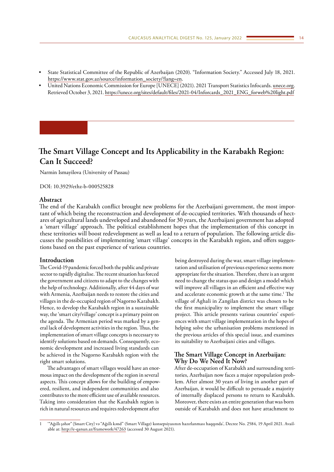- <span id="page-13-0"></span>• State Statistical Committee of the Republic of Azerbaijan (2020). "Information Society." Accessed July 18, 2021. [https://www.stat.gov.az/source/information\\_society/?lang=en](https://www.stat.gov.az/source/information_society/?lang=en).
- United Nations Economic Commission for Europe [UNECE] (2021). 2021 Transport Statistics Infocards. [unece.org](http://unece.org). Retrieved October 3, 2021. [https://unece.org/sites/default/files/2021-04/Inforcards\\_2021\\_ENG\\_forweb%20light.pdf](https://unece.org/sites/default/files/2021-04/Inforcards_2021_ENG_forweb light.pdf)

# **The Smart Village Concept and Its Applicability in the Karabakh Region: Can It Succeed?**

Narmin Ismayilova (University of Passau)

DOI: 10.3929/ethz-b-000525828

## **Abstract**

The end of the Karabakh conflict brought new problems for the Azerbaijani government, the most important of which being the reconstruction and development of de-occupied territories. With thousands of hectares of agricultural lands undeveloped and abandoned for 30 years, the Azerbaijani government has adopted a 'smart village' approach. The political establishment hopes that the implementation of this concept in these territories will boost redevelopment as well as lead to a return of population. The following article discusses the possibilities of implementing 'smart village' concepts in the Karabakh region, and offers suggestions based on the past experience of various countries.

## **Introduction**

The Covid-19 pandemic forced both the public and private sector to rapidly digitalise. The recent situation has forced the government and citizens to adapt to the changes with the help of technology. Additionally, after 44 days of war with Armenia, Azerbaijan needs to restore the cities and villages in the de-occupied region of Nagorno Karabakh. Hence, to develop the Karabakh region in a sustainable way, the 'smart city/village' concept is a primary point on the agenda. The Armenian period was marked by a general lack of development activities in the region. Thus, the implementation of smart village concepts is necessary to identify solutions based on demands. Consequently, economic development and increased living standards can be achieved in the Nagorno Karabakh region with the right smart solutions.

The advantages of smart villages would have an enormous impact on the development of the region in several aspects. This concept allows for the building of empowered, resilient, and independent communities and also contributes to the more efficient use of available resources. Taking into consideration that the Karabakh region is rich in natural resources and requires redevelopment after

being destroyed during the war, smart village implementation and utilisation of previous experience seems more appropriate for the situation. Therefore, there is an urgent need to change the status quo and design a model which will improve all villages in an efficient and effective way and accelerate economic growth at the same time.<sup>1</sup> The village of Aghali in Zangilan district was chosen to be the first municipality to implement the smart village project. This article presents various countries' experiences with smart village implementation in the hopes of helping solve the urbanisation problems mentioned in the previous articles of this special issue, and examines its suitability to Azerbaijani cities and villages.

# **The Smart Village Concept in Azerbaijan: Why Do We Need It Now?**

After de-occupation of Karabakh and surrounding territories, Azerbaijan now faces a major repopulation problem. After almost 30 years of living in another part of Azerbaijan, it would be difficult to persuade a majority of internally displaced persons to return to Karabakh. Moreover, there exists an entire generation that was born outside of Karabakh and does not have attachment to

<sup>1</sup> '"Ağıllı şəhər" (Smart City) və "Ağıllı kənd" (Smart Village) konsepsiyasının hazırlanması haqqında', Decree No. 2584, 19 April 2021. Available at: <http://e-qanun.az/framework/47263>(accessed 30 August 2021).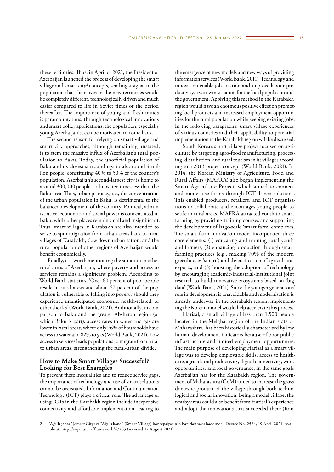these territories. Thus, in April of 2021, the President of Azerbaijan launched the process of developing the smart village and smart city<sup>2</sup> concepts, sending a signal to the population that their lives in the new territories would be completely different, technologically driven and much easier compared to life in Soviet times or the period thereafter. The importance of young and fresh minds is paramount; thus, through technological innovations and smart policy applications, the population, especially young Azerbaijanis, can be motivated to come back.

The second reason for relying on smart village and smart city approaches, although remaining unstated, is to stem the massive influx of Azerbaijan's rural population to Baku. Today, the unofficial population of Baku and its closest surroundings totals around 4 million people, constituting 40% to 50% of the country's population. Azerbaijan's second-largest city is home to around 300,000 people—almost ten times less than the Baku area. Thus, urban primacy, i.e., the concentration of the urban population in Baku, is detrimental to the balanced development of the country. Political, administrative, economic, and social power is concentrated in Baku, while other places remain small and insignificant. Thus, smart villages in Karabakh are also intended to serve to spur migration from urban areas back to rural villages of Karabakh, slow down urbanisation, and the rural population of other regions of Azerbaijan would benefit economically.

Finally, it is worth mentioning the situation in other rural areas of Azerbaijan, where poverty and access to services remains a significant problem. According to World Bank statistics, 'Over 60 percent of poor people reside in rural areas and about 57 percent of the population is vulnerable to falling into poverty should they experience unanticipated economic, health-related, or other shocks' (World Bank, 2021). Additionally, in comparison to Baku and the greater Absheron region (of which Baku is part), access rates to water and gas are lower in rural areas, where only 76% of households have access to water and 82% to gas (World Bank, 2021). Low access to services leads populations to migrate from rural to urban areas, strengthening the rural-urban divide.

# **How to Make Smart Villages Successful? Looking for Best Examples**

To prevent these inequalities and to reduce service gaps, the importance of technology and use of smart solutions cannot be overstated. Information and Communication Technology (ICT) plays a critical role. The advantage of using ICTs in the Karabakh region include inexpensive connectivity and affordable implementation, leading to

the emergence of new models and new ways of providing information services (World Bank, 2011). Technology and innovation enable job creation and improve labour productivity, a win-win situation for the local population and the government. Applying this method in the Karabakh region would have an enormous positive effect on promoting local products and increased employment opportunities for the rural population while keeping existing jobs. In the following paragraphs, smart village experiences of various countries and their applicability to potential implementation in the Karabakh region will be discussed.

South Korea's smart village project focused on agriculture by targeting agro-food manufacturing, processing, distribution, and rural tourism in its villages according to a 2013 project concept (World Bank, 2021). In 2014, the Korean Ministry of Agriculture, Food and Rural Affairs (MAFRA) also began implementing the Smart Agriculture Project, which aimed to connect and modernise farms through ICT-driven solutions. This enabled producers, retailers, and ICT organisations to collaborate and encourages young people to settle in rural areas. MAFRA attracted youth to smart farming by providing training courses and supporting the development of large-scale 'smart farm' complexes. The smart farm innovation model incorporated three core elements: (1) educating and training rural youth and farmers; (2) enhancing production through smart farming practices (e.g., making 70% of the modern greenhouses 'smart') and diversification of agricultural exports; and (3) boosting the adoption of technology by encouraging academic-industrial-institutional joint research to build innovative ecosystems based on 'big data' (World Bank, 2021). Since the younger generations' role in development is unavoidable and modernisation is already underway in the Karabakh region, implementing the Korean model would help accelerate this process.

Harisal, a small village of less than 1,500 people located in the Melghat region of the Indian state of Maharashtra, has been historically characterised by low human development indicators because of poor public infrastructure and limited employment opportunities. The main purpose of developing Harisal as a smart village was to develop employable skills, access to healthcare, agricultural productivity, digital connectivity, work opportunities, and local governance, in the same goals Azerbaijan has for the Karabakh region. The government of Maharashtra (GoM) aimed to increase the gross domestic product of the village through both technological and social innovation. Being a model village, the nearby areas could also benefit from Harisal's experience and adopt the innovations that succeeded there (Ran-

<sup>2</sup> '"Ağıllı şəhər" (Smart City) və "Ağıllı kənd" (Smart Village) konsepsiyasının hazırlanması haqqında', Decree No. 2584, 19 April 2021. Available at: <http://e-qanun.az/framework/47263>(accessed 17 August 2021).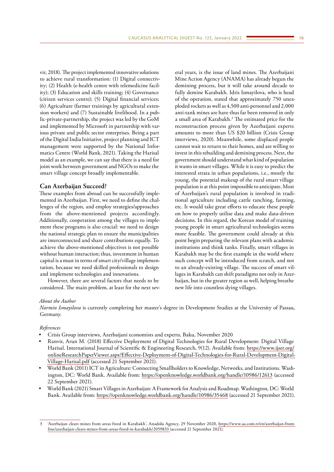vir, 2018). The project implemented innovative solutions to achieve rural transformation: (1) Digital connectivity; (2) Health (e-health centre with telemedicine facility); (3) Education and skills training; (4) Governance (citizen services centre); (5) Digital financial services; (6) Agriculture (farmer trainings by agricultural extension workers) and (7) Sustainable livelihood. In a public-private-partnership, the project was led by the GoM and implemented by Microsoft in partnership with various private and public sector enterprises. Being a part of the Digital India Initiative, project planning and ICT management were supported by the National Informatics Centre (World Bank, 2021). Taking the Harisal model as an example, we can say that there is a need for joint work between government and NGOs to make the smart village concept broadly implementable.

## **Can Azerbaijan Succeed?**

These examples from abroad can be successfully implemented in Azerbaijan. First, we need to define the challenges of the region, and employ strategies/approaches from the above-mentioned projects accordingly. Additionally, cooperation among the villages to implement these programs is also crucial: we need to design the national strategic plan to ensure the municipalities are interconnected and share contributions equally. To achieve the above-mentioned objectives is not possible without human interaction; thus, investment in human capital is a must in terms of smart city/village implementation, because we need skilled professionals to design and implement technologies and innovations.

However, there are several factors that needs to be considered. The main problem, at least for the next several years, is the issue of land mines. The Azerbaijani Mine Action Agency (ANAMA) has already begun the demining process, but it will take around decade to fully demine Karabakh. Idris Ismayilova, who is head of the operation, stated that approximately 750 unexploded rockets as well as 4,500 anti-personnel and 2,000 anti-tank mines are have thus far been removed in only a small area of Karabakh.<sup>3</sup> The estimated price for the reconstruction process given by Azerbaijani experts amounts to more than US \$20 billion (Crisis Group interviews, 2020). Meanwhile, some displaced people cannot wait to return to their homes, and are willing to invest in this rebuilding and demining process. Next, the government should understand what kind of population it wants in smart villages. While it is easy to predict the interested strata in urban populations, i.e., mostly the young, the potential makeup of the rural smart village population is at this point impossible to anticipate. Most of Azerbaijan's rural population is involved in traditional agriculture including cattle ranching, farming, etc. It would take great efforts to educate these people on how to properly utilise data and make data-driven decisions. In this regard, the Korean model of training young people in smart agricultural technologies seems more feasible. The government could already at this point begin preparing the relevant plans with academic institutions and think tanks. Finally, smart villages in Karabakh may be the first example in the world where such concept will be introduced from scratch, and not to an already-existing village. The success of smart villages in Karabakh can shift paradigms not only in Azerbaijan, but in the greater region as well, helping breathe new life into countless dying villages.

#### *About the Author*

*Narmin Ismayilova* is currently completing her master's degree in Development Studies at the University of Passau, Germany.

### *References*

- Crisis Group interviews, Azerbaijani economists and experts, Baku, November 2020
- Ranvir, Arun M. (2018) Effective Deployment of Digital Technologies for Rural Development: Digital Village Harisal. International Journal of Scientific & Engineering Research, 9(12). Available from: [https://www.ijser.org/](https://www.ijser.org/onlineResearchPaperViewer.aspx?Effective-Deployment-of-Digital-Technologies-for-Rural-Development-Digital-Village-Harisal.pdf) [onlineResearchPaperViewer.aspx?Effective-Deployment-of-Digital-Technologies-for-Rural-Development-Digital-](https://www.ijser.org/onlineResearchPaperViewer.aspx?Effective-Deployment-of-Digital-Technologies-for-Rural-Development-Digital-Village-Harisal.pdf)[Village-Harisal.pdf](https://www.ijser.org/onlineResearchPaperViewer.aspx?Effective-Deployment-of-Digital-Technologies-for-Rural-Development-Digital-Village-Harisal.pdf) (accessed 21 September 2021).
- World Bank (2011) ICT in Agriculture: Connecting Smallholders to Knowledge, Networks, and Institutions. Washington, DC: World Bank. Available from: <https://openknowledge.worldbank.org/handle/10986/12613>(accessed 22 September 2021).
- World Bank (2021) Smart Villages in Azerbaijan: A Framework for Analysis and Roadmap. Washington, DC: World Bank. Available from:<https://openknowledge.worldbank.org/handle/10986/35468> (accessed 21 September 2021).

<sup>3</sup> 'Azerbaijan clears mines from areas freed in Karabakh', Anadolu Agency, 29 November 2020, [https://www.aa.com.tr/en/azerbaijan-front](https://www.aa.com.tr/en/azerbaijan-front-line/azerbaijan-clears-mines-from-areas-freed-in-karabakh/2059833)[line/azerbaijan-clears-mines-from-areas-freed-in-karabakh/2059833](https://www.aa.com.tr/en/azerbaijan-front-line/azerbaijan-clears-mines-from-areas-freed-in-karabakh/2059833) (accessed 21 September 2021).